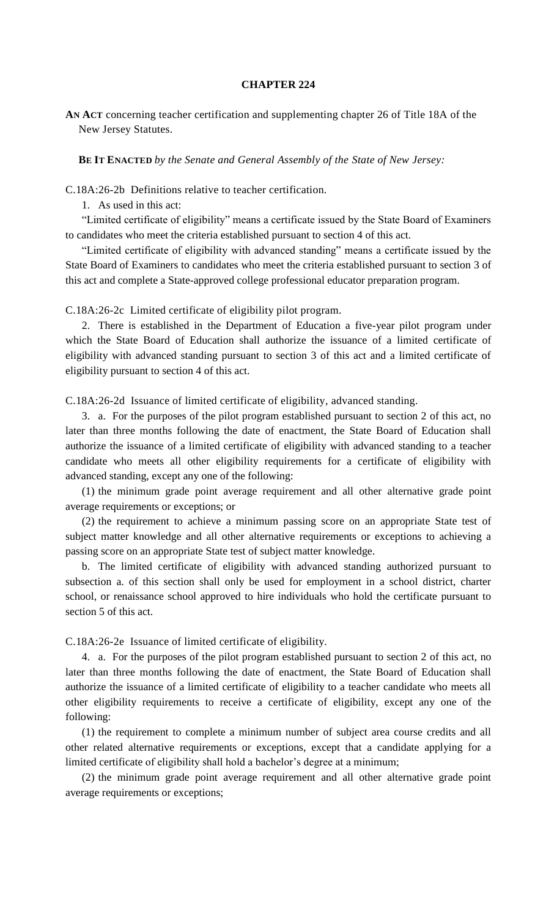## **CHAPTER 224**

**AN ACT** concerning teacher certification and supplementing chapter 26 of Title 18A of the New Jersey Statutes.

**BE IT ENACTED** *by the Senate and General Assembly of the State of New Jersey:*

C.18A:26-2b Definitions relative to teacher certification.

1. As used in this act:

"Limited certificate of eligibility" means a certificate issued by the State Board of Examiners to candidates who meet the criteria established pursuant to section 4 of this act.

"Limited certificate of eligibility with advanced standing" means a certificate issued by the State Board of Examiners to candidates who meet the criteria established pursuant to section 3 of this act and complete a State-approved college professional educator preparation program.

C.18A:26-2c Limited certificate of eligibility pilot program.

2. There is established in the Department of Education a five-year pilot program under which the State Board of Education shall authorize the issuance of a limited certificate of eligibility with advanced standing pursuant to section 3 of this act and a limited certificate of eligibility pursuant to section 4 of this act.

C.18A:26-2d Issuance of limited certificate of eligibility, advanced standing.

3. a. For the purposes of the pilot program established pursuant to section 2 of this act, no later than three months following the date of enactment, the State Board of Education shall authorize the issuance of a limited certificate of eligibility with advanced standing to a teacher candidate who meets all other eligibility requirements for a certificate of eligibility with advanced standing, except any one of the following:

(1) the minimum grade point average requirement and all other alternative grade point average requirements or exceptions; or

(2) the requirement to achieve a minimum passing score on an appropriate State test of subject matter knowledge and all other alternative requirements or exceptions to achieving a passing score on an appropriate State test of subject matter knowledge.

b. The limited certificate of eligibility with advanced standing authorized pursuant to subsection a. of this section shall only be used for employment in a school district, charter school, or renaissance school approved to hire individuals who hold the certificate pursuant to section 5 of this act.

C.18A:26-2e Issuance of limited certificate of eligibility.

4. a. For the purposes of the pilot program established pursuant to section 2 of this act, no later than three months following the date of enactment, the State Board of Education shall authorize the issuance of a limited certificate of eligibility to a teacher candidate who meets all other eligibility requirements to receive a certificate of eligibility, except any one of the following:

(1) the requirement to complete a minimum number of subject area course credits and all other related alternative requirements or exceptions, except that a candidate applying for a limited certificate of eligibility shall hold a bachelor's degree at a minimum;

(2) the minimum grade point average requirement and all other alternative grade point average requirements or exceptions;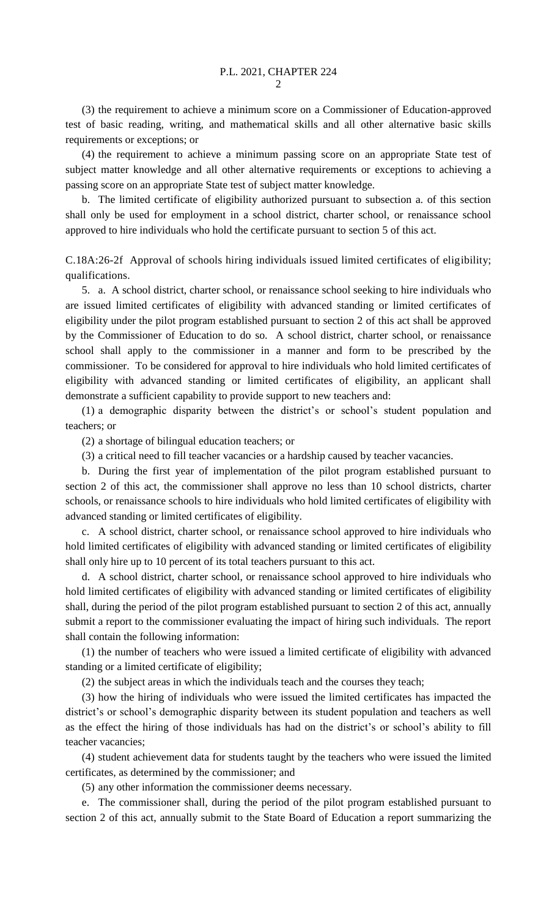(3) the requirement to achieve a minimum score on a Commissioner of Education-approved test of basic reading, writing, and mathematical skills and all other alternative basic skills requirements or exceptions; or

(4) the requirement to achieve a minimum passing score on an appropriate State test of subject matter knowledge and all other alternative requirements or exceptions to achieving a passing score on an appropriate State test of subject matter knowledge.

b. The limited certificate of eligibility authorized pursuant to subsection a. of this section shall only be used for employment in a school district, charter school, or renaissance school approved to hire individuals who hold the certificate pursuant to section 5 of this act.

C.18A:26-2f Approval of schools hiring individuals issued limited certificates of eligibility; qualifications.

5. a. A school district, charter school, or renaissance school seeking to hire individuals who are issued limited certificates of eligibility with advanced standing or limited certificates of eligibility under the pilot program established pursuant to section 2 of this act shall be approved by the Commissioner of Education to do so. A school district, charter school, or renaissance school shall apply to the commissioner in a manner and form to be prescribed by the commissioner. To be considered for approval to hire individuals who hold limited certificates of eligibility with advanced standing or limited certificates of eligibility, an applicant shall demonstrate a sufficient capability to provide support to new teachers and:

(1) a demographic disparity between the district's or school's student population and teachers; or

(2) a shortage of bilingual education teachers; or

(3) a critical need to fill teacher vacancies or a hardship caused by teacher vacancies.

b. During the first year of implementation of the pilot program established pursuant to section 2 of this act, the commissioner shall approve no less than 10 school districts, charter schools, or renaissance schools to hire individuals who hold limited certificates of eligibility with advanced standing or limited certificates of eligibility.

c. A school district, charter school, or renaissance school approved to hire individuals who hold limited certificates of eligibility with advanced standing or limited certificates of eligibility shall only hire up to 10 percent of its total teachers pursuant to this act.

d. A school district, charter school, or renaissance school approved to hire individuals who hold limited certificates of eligibility with advanced standing or limited certificates of eligibility shall, during the period of the pilot program established pursuant to section 2 of this act, annually submit a report to the commissioner evaluating the impact of hiring such individuals. The report shall contain the following information:

(1) the number of teachers who were issued a limited certificate of eligibility with advanced standing or a limited certificate of eligibility;

(2) the subject areas in which the individuals teach and the courses they teach;

(3) how the hiring of individuals who were issued the limited certificates has impacted the district's or school's demographic disparity between its student population and teachers as well as the effect the hiring of those individuals has had on the district's or school's ability to fill teacher vacancies;

(4) student achievement data for students taught by the teachers who were issued the limited certificates, as determined by the commissioner; and

(5) any other information the commissioner deems necessary.

e. The commissioner shall, during the period of the pilot program established pursuant to section 2 of this act, annually submit to the State Board of Education a report summarizing the